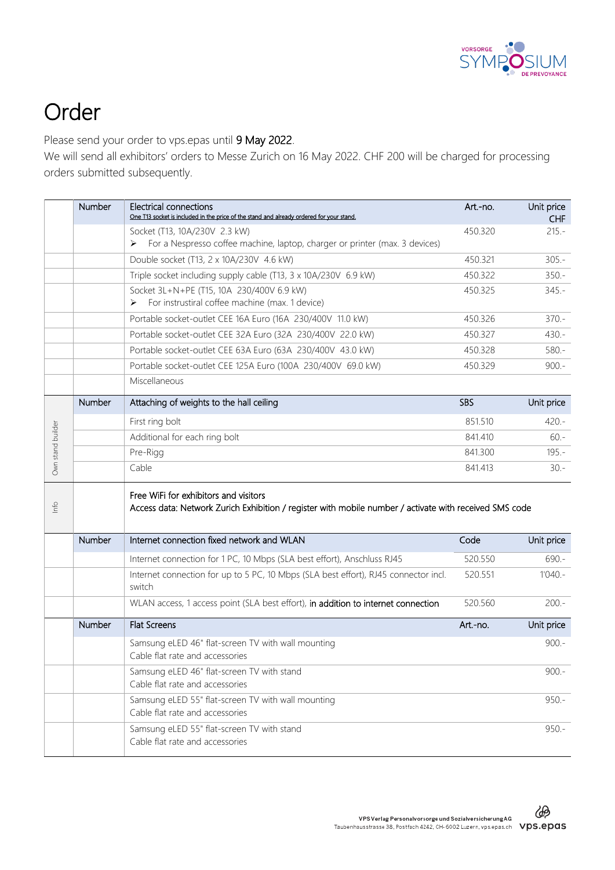

## Order

Please send your order to vps.epas until 9 May 2022.

We will send all exhibitors' orders to Messe Zurich on 16 May 2022. CHF 200 will be charged for processing orders submitted subsequently.

|                   | Number        | Electrical connections<br>One T13 socket is included in the price of the stand and already ordered for your stand.                              | Art.-no.   | Unit price<br>CHF |
|-------------------|---------------|-------------------------------------------------------------------------------------------------------------------------------------------------|------------|-------------------|
|                   |               | Socket (T13, 10A/230V 2.3 kW)                                                                                                                   | 450.320    | $215.-$           |
|                   |               | For a Nespresso coffee machine, laptop, charger or printer (max. 3 devices)                                                                     |            |                   |
|                   |               | Double socket (T13, 2 x 10A/230V 4.6 kW)                                                                                                        | 450.321    | $305 -$           |
|                   |               | Triple socket including supply cable (T13, 3 x 10A/230V 6.9 kW)                                                                                 | 450.322    | $350 -$           |
|                   |               | Socket 3L+N+PE (T15, 10A 230/400V 6.9 kW)                                                                                                       | 450.325    | $345. -$          |
|                   |               | For instrustiral coffee machine (max. 1 device)<br>➤                                                                                            |            |                   |
|                   |               | Portable socket-outlet CEE 16A Euro (16A 230/400V 11.0 kW)                                                                                      | 450.326    | $370 -$           |
|                   |               | Portable socket-outlet CEE 32A Euro (32A 230/400V 22.0 kW)                                                                                      | 450.327    | $430 -$           |
|                   |               | Portable socket-outlet CEE 63A Euro (63A 230/400V 43.0 kW)                                                                                      | 450.328    | $580 -$           |
|                   |               | Portable socket-outlet CEE 125A Euro (100A 230/400V 69.0 kW)                                                                                    | 450.329    | $900 -$           |
|                   |               | Miscellaneous                                                                                                                                   |            |                   |
| Own stand builder | Number        | Attaching of weights to the hall ceiling                                                                                                        | <b>SBS</b> | Unit price        |
|                   |               | First ring bolt                                                                                                                                 | 851.510    | $420 -$           |
|                   |               | Additional for each ring bolt                                                                                                                   | 841.410    | $60 -$            |
|                   |               | Pre-Rigg                                                                                                                                        | 841.300    | $195 -$           |
|                   |               | Cable                                                                                                                                           | 841.413    | $30 -$            |
| Info              |               | Free WiFi for exhibitors and visitors<br>Access data: Network Zurich Exhibition / register with mobile number / activate with received SMS code |            |                   |
|                   | Number        | Internet connection fixed network and WLAN                                                                                                      | Code       | Unit price        |
|                   |               | Internet connection for 1 PC, 10 Mbps (SLA best effort), Anschluss RJ45                                                                         | 520.550    | $690 -$           |
|                   |               | Internet connection for up to 5 PC, 10 Mbps (SLA best effort), RJ45 connector incl.<br>switch                                                   | 520.551    | $1'040 -$         |
|                   |               | WLAN access, 1 access point (SLA best effort), in addition to internet connection                                                               | 520.560    | $200 -$           |
|                   | <b>Number</b> | <b>Flat Screens</b>                                                                                                                             | Art.-no.   | Unit price        |
|                   |               | Samsung eLED 46" flat-screen TV with wall mounting<br>Cable flat rate and accessories                                                           |            | $900.-$           |
|                   |               | Samsung eLED 46" flat-screen TV with stand<br>Cable flat rate and accessories                                                                   |            | $900.-$           |
|                   |               | Samsung eLED 55" flat-screen TV with wall mounting<br>Cable flat rate and accessories                                                           |            | $950 -$           |
|                   |               | Samsung eLED 55" flat-screen TV with stand<br>Cable flat rate and accessories                                                                   |            | $950 -$           |